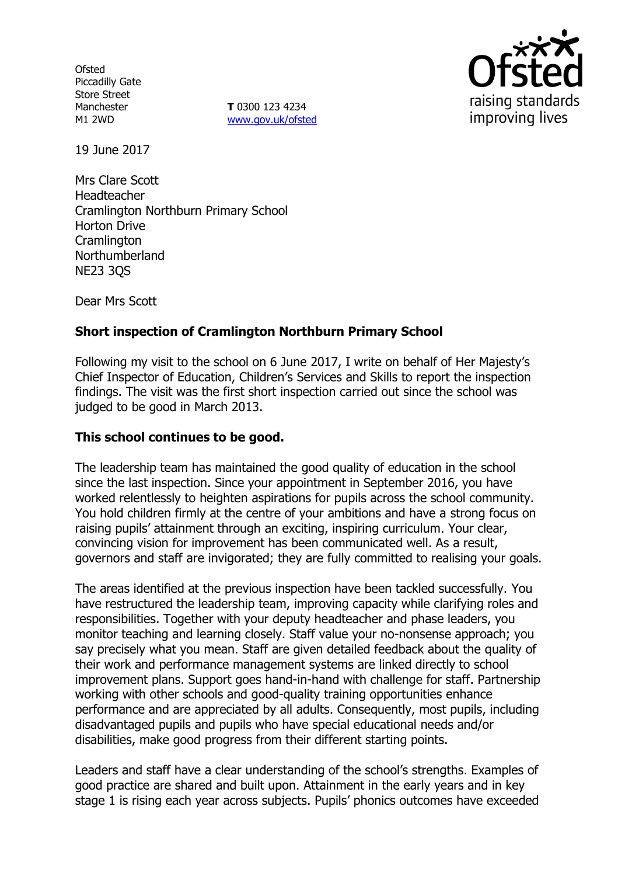**Ofsted** Piccadilly Gate Store Street Manchester M1 2WD

**T** 0300 123 4234 www.gov.uk/ofsted



19 June 2017

Mrs Clare Scott Headteacher Cramlington Northburn Primary School Horton Drive **Cramlington** Northumberland NE23 3QS

Dear Mrs Scott

# **Short inspection of Cramlington Northburn Primary School**

Following my visit to the school on 6 June 2017, I write on behalf of Her Majesty's Chief Inspector of Education, Children's Services and Skills to report the inspection findings. The visit was the first short inspection carried out since the school was judged to be good in March 2013.

## **This school continues to be good.**

The leadership team has maintained the good quality of education in the school since the last inspection. Since your appointment in September 2016, you have worked relentlessly to heighten aspirations for pupils across the school community. You hold children firmly at the centre of your ambitions and have a strong focus on raising pupils' attainment through an exciting, inspiring curriculum. Your clear, convincing vision for improvement has been communicated well. As a result, governors and staff are invigorated; they are fully committed to realising your goals.

The areas identified at the previous inspection have been tackled successfully. You have restructured the leadership team, improving capacity while clarifying roles and responsibilities. Together with your deputy headteacher and phase leaders, you monitor teaching and learning closely. Staff value your no-nonsense approach; you say precisely what you mean. Staff are given detailed feedback about the quality of their work and performance management systems are linked directly to school improvement plans. Support goes hand-in-hand with challenge for staff. Partnership working with other schools and good-quality training opportunities enhance performance and are appreciated by all adults. Consequently, most pupils, including disadvantaged pupils and pupils who have special educational needs and/or disabilities, make good progress from their different starting points.

Leaders and staff have a clear understanding of the school's strengths. Examples of good practice are shared and built upon. Attainment in the early years and in key stage 1 is rising each year across subjects. Pupils' phonics outcomes have exceeded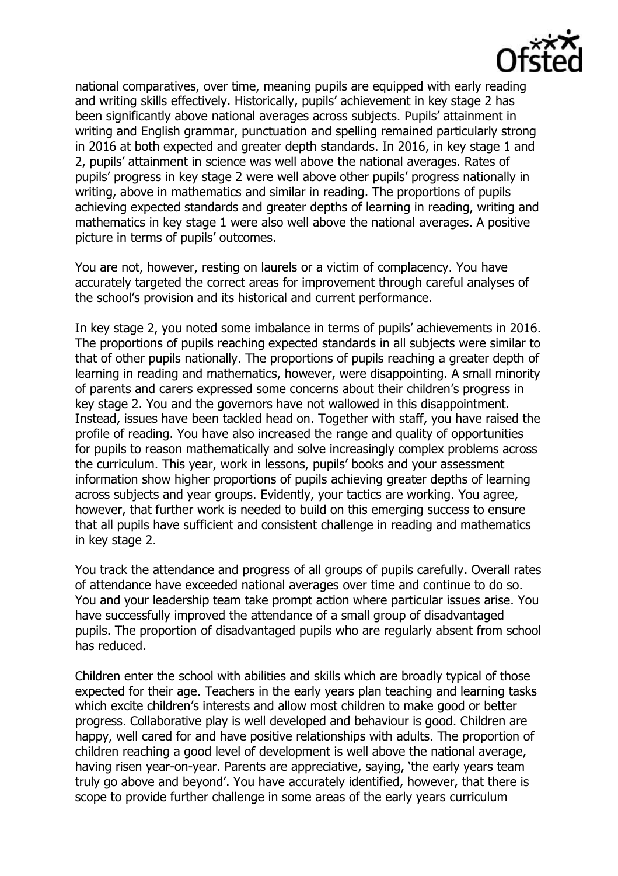

national comparatives, over time, meaning pupils are equipped with early reading and writing skills effectively. Historically, pupils' achievement in key stage 2 has been significantly above national averages across subjects. Pupils' attainment in writing and English grammar, punctuation and spelling remained particularly strong in 2016 at both expected and greater depth standards. In 2016, in key stage 1 and 2, pupils' attainment in science was well above the national averages. Rates of pupils' progress in key stage 2 were well above other pupils' progress nationally in writing, above in mathematics and similar in reading. The proportions of pupils achieving expected standards and greater depths of learning in reading, writing and mathematics in key stage 1 were also well above the national averages. A positive picture in terms of pupils' outcomes.

You are not, however, resting on laurels or a victim of complacency. You have accurately targeted the correct areas for improvement through careful analyses of the school's provision and its historical and current performance.

In key stage 2, you noted some imbalance in terms of pupils' achievements in 2016. The proportions of pupils reaching expected standards in all subjects were similar to that of other pupils nationally. The proportions of pupils reaching a greater depth of learning in reading and mathematics, however, were disappointing. A small minority of parents and carers expressed some concerns about their children's progress in key stage 2. You and the governors have not wallowed in this disappointment. Instead, issues have been tackled head on. Together with staff, you have raised the profile of reading. You have also increased the range and quality of opportunities for pupils to reason mathematically and solve increasingly complex problems across the curriculum. This year, work in lessons, pupils' books and your assessment information show higher proportions of pupils achieving greater depths of learning across subjects and year groups. Evidently, your tactics are working. You agree, however, that further work is needed to build on this emerging success to ensure that all pupils have sufficient and consistent challenge in reading and mathematics in key stage 2.

You track the attendance and progress of all groups of pupils carefully. Overall rates of attendance have exceeded national averages over time and continue to do so. You and your leadership team take prompt action where particular issues arise. You have successfully improved the attendance of a small group of disadvantaged pupils. The proportion of disadvantaged pupils who are regularly absent from school has reduced.

Children enter the school with abilities and skills which are broadly typical of those expected for their age. Teachers in the early years plan teaching and learning tasks which excite children's interests and allow most children to make good or better progress. Collaborative play is well developed and behaviour is good. Children are happy, well cared for and have positive relationships with adults. The proportion of children reaching a good level of development is well above the national average, having risen year-on-year. Parents are appreciative, saying, 'the early years team truly go above and beyond'. You have accurately identified, however, that there is scope to provide further challenge in some areas of the early years curriculum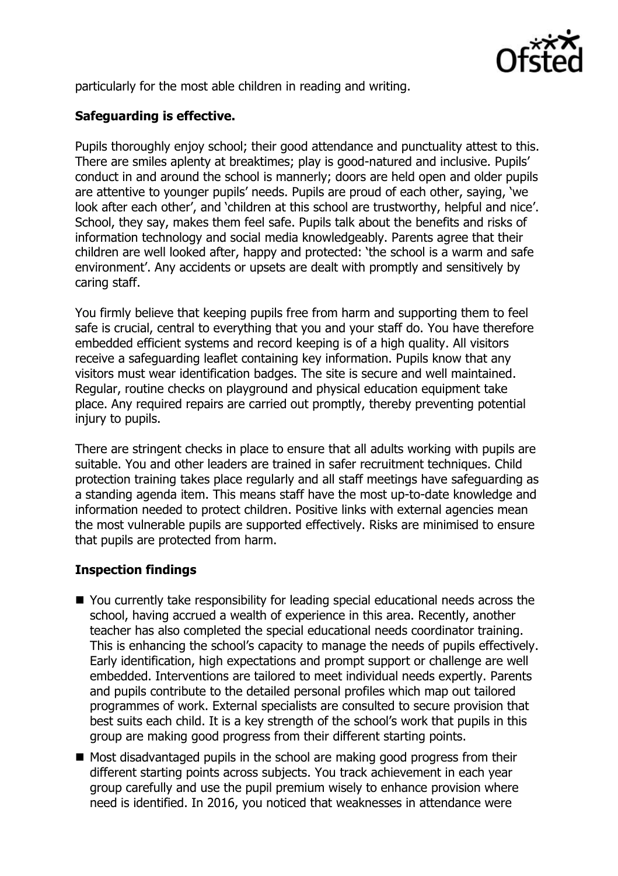

particularly for the most able children in reading and writing.

# **Safeguarding is effective.**

Pupils thoroughly enjoy school; their good attendance and punctuality attest to this. There are smiles aplenty at breaktimes; play is good-natured and inclusive. Pupils' conduct in and around the school is mannerly; doors are held open and older pupils are attentive to younger pupils' needs. Pupils are proud of each other, saying, 'we look after each other', and 'children at this school are trustworthy, helpful and nice'. School, they say, makes them feel safe. Pupils talk about the benefits and risks of information technology and social media knowledgeably. Parents agree that their children are well looked after, happy and protected: 'the school is a warm and safe environment'. Any accidents or upsets are dealt with promptly and sensitively by caring staff.

You firmly believe that keeping pupils free from harm and supporting them to feel safe is crucial, central to everything that you and your staff do. You have therefore embedded efficient systems and record keeping is of a high quality. All visitors receive a safeguarding leaflet containing key information. Pupils know that any visitors must wear identification badges. The site is secure and well maintained. Regular, routine checks on playground and physical education equipment take place. Any required repairs are carried out promptly, thereby preventing potential injury to pupils.

There are stringent checks in place to ensure that all adults working with pupils are suitable. You and other leaders are trained in safer recruitment techniques. Child protection training takes place regularly and all staff meetings have safeguarding as a standing agenda item. This means staff have the most up-to-date knowledge and information needed to protect children. Positive links with external agencies mean the most vulnerable pupils are supported effectively. Risks are minimised to ensure that pupils are protected from harm.

#### **Inspection findings**

- You currently take responsibility for leading special educational needs across the school, having accrued a wealth of experience in this area. Recently, another teacher has also completed the special educational needs coordinator training. This is enhancing the school's capacity to manage the needs of pupils effectively. Early identification, high expectations and prompt support or challenge are well embedded. Interventions are tailored to meet individual needs expertly. Parents and pupils contribute to the detailed personal profiles which map out tailored programmes of work. External specialists are consulted to secure provision that best suits each child. It is a key strength of the school's work that pupils in this group are making good progress from their different starting points.
- Most disadvantaged pupils in the school are making good progress from their different starting points across subjects. You track achievement in each year group carefully and use the pupil premium wisely to enhance provision where need is identified. In 2016, you noticed that weaknesses in attendance were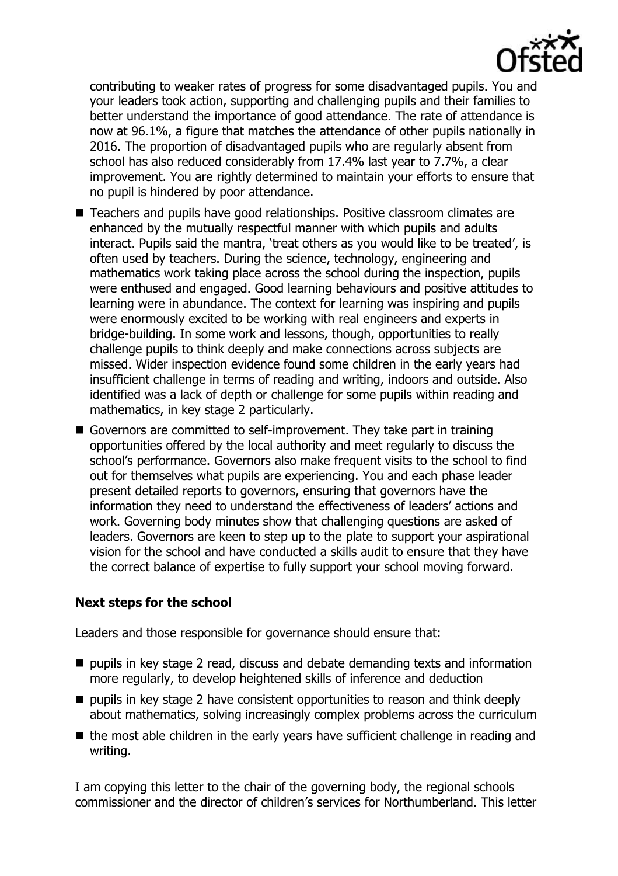

contributing to weaker rates of progress for some disadvantaged pupils. You and your leaders took action, supporting and challenging pupils and their families to better understand the importance of good attendance. The rate of attendance is now at 96.1%, a figure that matches the attendance of other pupils nationally in 2016. The proportion of disadvantaged pupils who are regularly absent from school has also reduced considerably from 17.4% last year to 7.7%, a clear improvement. You are rightly determined to maintain your efforts to ensure that no pupil is hindered by poor attendance.

- Teachers and pupils have good relationships. Positive classroom climates are enhanced by the mutually respectful manner with which pupils and adults interact. Pupils said the mantra, 'treat others as you would like to be treated', is often used by teachers. During the science, technology, engineering and mathematics work taking place across the school during the inspection, pupils were enthused and engaged. Good learning behaviours and positive attitudes to learning were in abundance. The context for learning was inspiring and pupils were enormously excited to be working with real engineers and experts in bridge-building. In some work and lessons, though, opportunities to really challenge pupils to think deeply and make connections across subjects are missed. Wider inspection evidence found some children in the early years had insufficient challenge in terms of reading and writing, indoors and outside. Also identified was a lack of depth or challenge for some pupils within reading and mathematics, in key stage 2 particularly.
- Governors are committed to self-improvement. They take part in training opportunities offered by the local authority and meet regularly to discuss the school's performance. Governors also make frequent visits to the school to find out for themselves what pupils are experiencing. You and each phase leader present detailed reports to governors, ensuring that governors have the information they need to understand the effectiveness of leaders' actions and work. Governing body minutes show that challenging questions are asked of leaders. Governors are keen to step up to the plate to support your aspirational vision for the school and have conducted a skills audit to ensure that they have the correct balance of expertise to fully support your school moving forward.

#### **Next steps for the school**

Leaders and those responsible for governance should ensure that:

- $\blacksquare$  pupils in key stage 2 read, discuss and debate demanding texts and information more regularly, to develop heightened skills of inference and deduction
- $\blacksquare$  pupils in key stage 2 have consistent opportunities to reason and think deeply about mathematics, solving increasingly complex problems across the curriculum
- $\blacksquare$  the most able children in the early years have sufficient challenge in reading and writing.

I am copying this letter to the chair of the governing body, the regional schools commissioner and the director of children's services for Northumberland. This letter